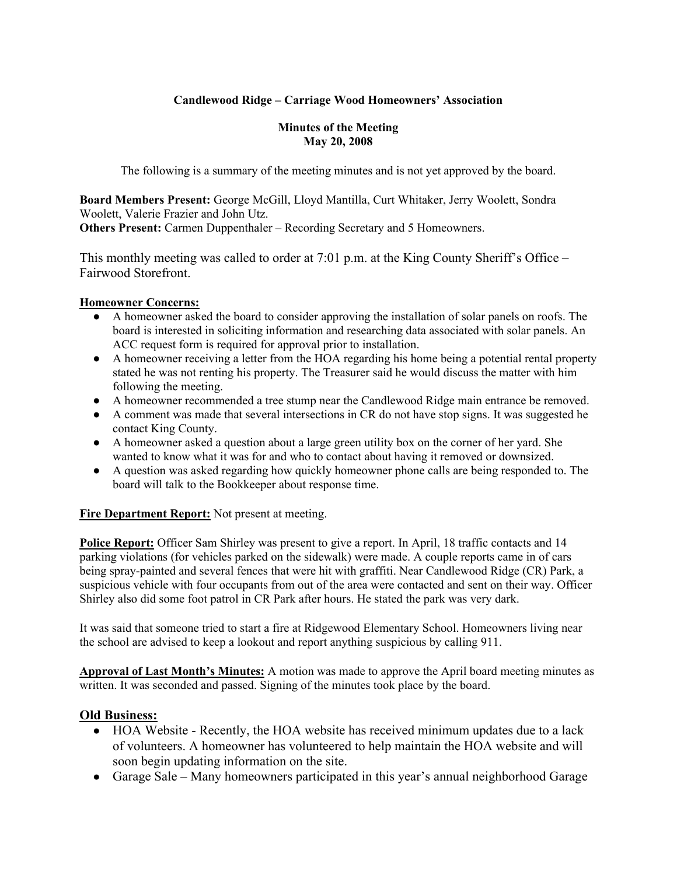# **Candlewood Ridge – Carriage Wood Homeowners' Association**

#### **Minutes of the Meeting May 20, 2008**

The following is a summary of the meeting minutes and is not yet approved by the board.

**Board Members Present:** George McGill, Lloyd Mantilla, Curt Whitaker, Jerry Woolett, Sondra Woolett, Valerie Frazier and John Utz.

**Others Present:** Carmen Duppenthaler – Recording Secretary and 5 Homeowners.

This monthly meeting was called to order at 7:01 p.m. at the King County Sheriff's Office – Fairwood Storefront.

### **Homeowner Concerns:**

- A homeowner asked the board to consider approving the installation of solar panels on roofs. The board is interested in soliciting information and researching data associated with solar panels. An ACC request form is required for approval prior to installation.
- A homeowner receiving a letter from the HOA regarding his home being a potential rental property stated he was not renting his property. The Treasurer said he would discuss the matter with him following the meeting.
- A homeowner recommended a tree stump near the Candlewood Ridge main entrance be removed.
- A comment was made that several intersections in CR do not have stop signs. It was suggested he contact King County.
- A homeowner asked a question about a large green utility box on the corner of her yard. She wanted to know what it was for and who to contact about having it removed or downsized.
- A question was asked regarding how quickly homeowner phone calls are being responded to. The board will talk to the Bookkeeper about response time.

### **Fire Department Report:** Not present at meeting.

**Police Report:** Officer Sam Shirley was present to give a report. In April, 18 traffic contacts and 14 parking violations (for vehicles parked on the sidewalk) were made. A couple reports came in of cars being spray-painted and several fences that were hit with graffiti. Near Candlewood Ridge (CR) Park, a suspicious vehicle with four occupants from out of the area were contacted and sent on their way. Officer Shirley also did some foot patrol in CR Park after hours. He stated the park was very dark.

It was said that someone tried to start a fire at Ridgewood Elementary School. Homeowners living near the school are advised to keep a lookout and report anything suspicious by calling 911.

**Approval of Last Month's Minutes:** A motion was made to approve the April board meeting minutes as written. It was seconded and passed. Signing of the minutes took place by the board.

### **Old Business:**

- HOA Website Recently, the HOA website has received minimum updates due to a lack of volunteers. A homeowner has volunteered to help maintain the HOA website and will soon begin updating information on the site.
- Garage Sale Many homeowners participated in this year's annual neighborhood Garage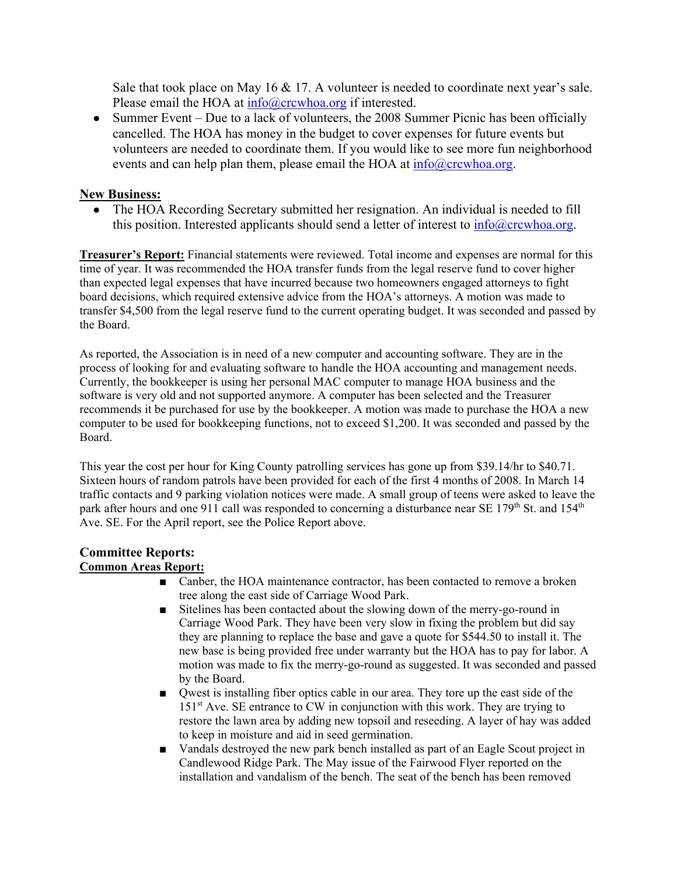Sale that took place on May 16  $& 17$ . A volunteer is needed to coordinate next year's sale. Please email the HOA at info@crcwhoa.org if interested.

• Summer Event – Due to a lack of volunteers, the 2008 Summer Picnic has been officially cancelled. The HOA has money in the budget to cover expenses for future events but volunteers are needed to coordinate them. If you would like to see more fun neighborhood events and can help plan them, please email the HOA at  $\frac{info@crcwhoa.org}{}$ .

### **New Business:**

• The HOA Recording Secretary submitted her resignation. An individual is needed to fill this position. Interested applicants should send a letter of interest to  $info@crcwhoa.org$ .

**Treasurer's Report:** Financial statements were reviewed. Total income and expenses are normal for this time of year. It was recommended the HOA transfer funds from the legal reserve fund to cover higher than expected legal expenses that have incurred because two homeowners engaged attorneys to fight board decisions, which required extensive advice from the HOA's attorneys. A motion was made to transfer \$4,500 from the legal reserve fund to the current operating budget. It was seconded and passed by the Board.

As reported, the Association is in need of a new computer and accounting software. They are in the process of looking for and evaluating software to handle the HOA accounting and management needs. Currently, the bookkeeper is using her personal MAC computer to manage HOA business and the software is very old and not supported anymore. A computer has been selected and the Treasurer recommends it be purchased for use by the bookkeeper. A motion was made to purchase the HOA a new computer to be used for bookkeeping functions, not to exceed \$1,200. It was seconded and passed by the Board.

This year the cost per hour for King County patrolling services has gone up from \$39.14/hr to \$40.71. Sixteen hours of random patrols have been provided for each of the first 4 months of 2008. In March 14 traffic contacts and 9 parking violation notices were made. A small group of teens were asked to leave the park after hours and one 911 call was responded to concerning a disturbance near SE 179<sup>th</sup> St. and 154<sup>th</sup> Ave. SE. For the April report, see the Police Report above.

# **Committee Reports:**

# **Common Areas Report:**

- Canber, the HOA maintenance contractor, has been contacted to remove a broken tree along the east side of Carriage Wood Park.
- Sitelines has been contacted about the slowing down of the merry-go-round in Carriage Wood Park. They have been very slow in fixing the problem but did say they are planning to replace the base and gave a quote for \$544.50 to install it. The new base is being provided free under warranty but the HOA has to pay for labor. A motion was made to fix the merry-go-round as suggested. It was seconded and passed by the Board.
- Qwest is installing fiber optics cable in our area. They tore up the east side of the  $151<sup>st</sup>$  Ave. SE entrance to CW in conjunction with this work. They are trying to restore the lawn area by adding new topsoil and reseeding. A layer of hay was added to keep in moisture and aid in seed germination.
- Vandals destroyed the new park bench installed as part of an Eagle Scout project in Candlewood Ridge Park. The May issue of the Fairwood Flyer reported on the installation and vandalism of the bench. The seat of the bench has been removed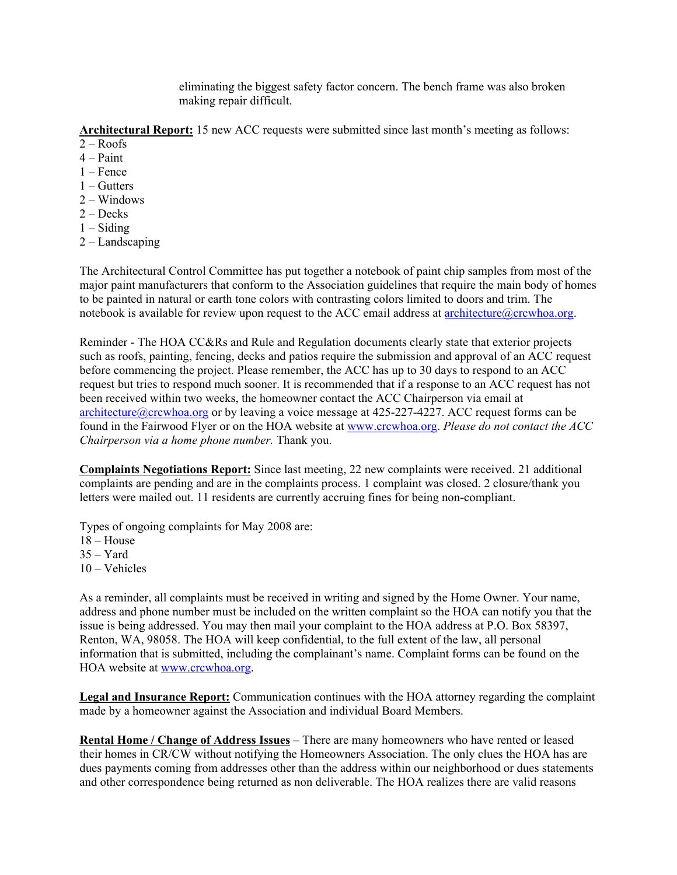eliminating the biggest safety factor concern. The bench frame was also broken making repair difficult.

**Architectural Report:** 15 new ACC requests were submitted since last month's meeting as follows:

- $2 Roots$
- $4 -$ Paint
- 1 Fence
- $1 -$ Gutters
- 2 Windows
- $2 \text{Decks}$
- $1 -$ Siding
- 2 Landscaping

The Architectural Control Committee has put together a notebook of paint chip samples from most of the major paint manufacturers that conform to the Association guidelines that require the main body of homes to be painted in natural or earth tone colors with contrasting colors limited to doors and trim. The notebook is available for review upon request to the ACC email address at architecture@crcwhoa.org.

Reminder - The HOA CC&Rs and Rule and Regulation documents clearly state that exterior projects such as roofs, painting, fencing, decks and patios require the submission and approval of an ACC request before commencing the project. Please remember, the ACC has up to 30 days to respond to an ACC request but tries to respond much sooner. It is recommended that if a response to an ACC request has not been received within two weeks, the homeowner contact the ACC Chairperson via email at architecture@crcwhoa.org or by leaving a voice message at 425-227-4227. ACC request forms can be found in the Fairwood Flyer or on the HOA website at www.crcwhoa.org. *Please do not contact the ACC Chairperson via a home phone number.* Thank you.

**Complaints Negotiations Report:** Since last meeting, 22 new complaints were received. 21 additional complaints are pending and are in the complaints process. 1 complaint was closed. 2 closure/thank you letters were mailed out. 11 residents are currently accruing fines for being non-compliant.

Types of ongoing complaints for May 2008 are:

- $18 House$
- $35 Yard$
- 10 Vehicles

As a reminder, all complaints must be received in writing and signed by the Home Owner. Your name, address and phone number must be included on the written complaint so the HOA can notify you that the issue is being addressed. You may then mail your complaint to the HOA address at P.O. Box 58397, Renton, WA, 98058. The HOA will keep confidential, to the full extent of the law, all personal information that is submitted, including the complainant's name. Complaint forms can be found on the HOA website at www.crcwhoa.org.

**Legal and Insurance Report:** Communication continues with the HOA attorney regarding the complaint made by a homeowner against the Association and individual Board Members.

**Rental Home / Change of Address Issues** – There are many homeowners who have rented or leased their homes in CR/CW without notifying the Homeowners Association. The only clues the HOA has are dues payments coming from addresses other than the address within our neighborhood or dues statements and other correspondence being returned as non deliverable. The HOA realizes there are valid reasons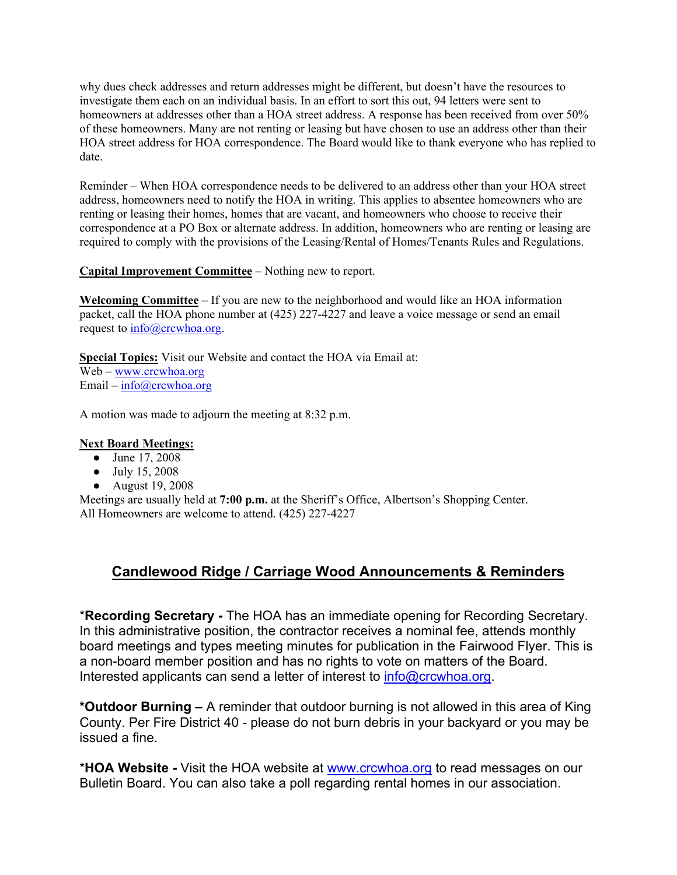why dues check addresses and return addresses might be different, but doesn't have the resources to investigate them each on an individual basis. In an effort to sort this out, 94 letters were sent to homeowners at addresses other than a HOA street address. A response has been received from over 50% of these homeowners. Many are not renting or leasing but have chosen to use an address other than their HOA street address for HOA correspondence. The Board would like to thank everyone who has replied to date.

Reminder – When HOA correspondence needs to be delivered to an address other than your HOA street address, homeowners need to notify the HOA in writing. This applies to absentee homeowners who are renting or leasing their homes, homes that are vacant, and homeowners who choose to receive their correspondence at a PO Box or alternate address. In addition, homeowners who are renting or leasing are required to comply with the provisions of the Leasing/Rental of Homes/Tenants Rules and Regulations.

### **Capital Improvement Committee** – Nothing new to report.

**Welcoming Committee** – If you are new to the neighborhood and would like an HOA information packet, call the HOA phone number at (425) 227-4227 and leave a voice message or send an email request to  $info@crcwhoa.org$ .

**Special Topics:** Visit our Website and contact the HOA via Email at: Web – www.crcwhoa.org Email –  $info@crcwhoa.org$ 

A motion was made to adjourn the meeting at 8:32 p.m.

### **Next Board Meetings:**

- June 17, 2008
- July 15, 2008
- August 19, 2008

Meetings are usually held at **7:00 p.m.** at the Sheriff's Office, Albertson's Shopping Center. All Homeowners are welcome to attend. (425) 227-4227

# **Candlewood Ridge / Carriage Wood Announcements & Reminders**

\***Recording Secretary -** The HOA has an immediate opening for Recording Secretary. In this administrative position, the contractor receives a nominal fee, attends monthly board meetings and types meeting minutes for publication in the Fairwood Flyer. This is a non-board member position and has no rights to vote on matters of the Board. Interested applicants can send a letter of interest to  $info@crcwhoa.org$ .

**\*Outdoor Burning –** A reminder that outdoor burning is not allowed in this area of King County. Per Fire District 40 - please do not burn debris in your backyard or you may be issued a fine.

\***HOA Website -** Visit the HOA website at www.crcwhoa.org to read messages on our Bulletin Board. You can also take a poll regarding rental homes in our association.